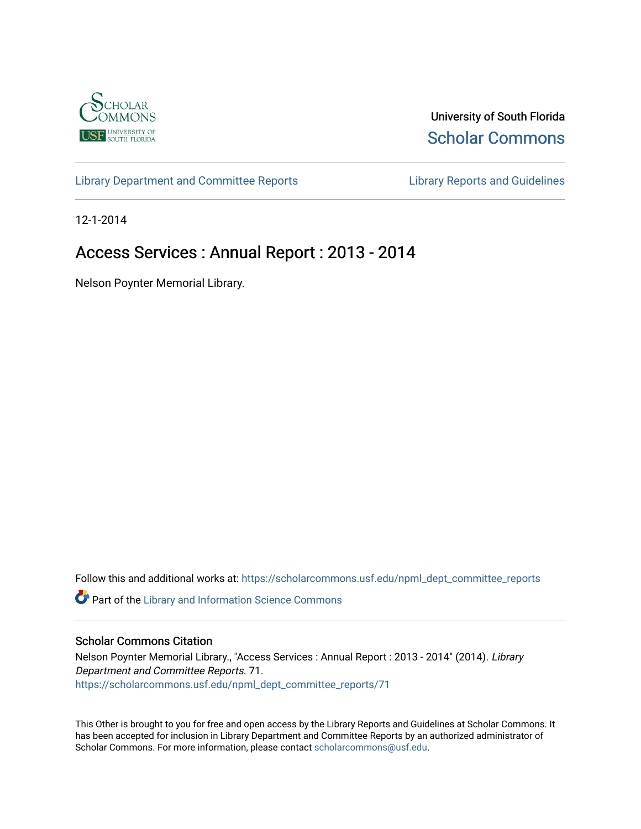

University of South Florida [Scholar Commons](https://scholarcommons.usf.edu/) 

[Library Department and Committee Reports](https://scholarcommons.usf.edu/npml_dept_committee_reports) [Library Reports and Guidelines](https://scholarcommons.usf.edu/npml_reports_guidelines_instruct_materials) 

12-1-2014

# Access Services : Annual Report : 2013 - 2014

Nelson Poynter Memorial Library.

Follow this and additional works at: [https://scholarcommons.usf.edu/npml\\_dept\\_committee\\_reports](https://scholarcommons.usf.edu/npml_dept_committee_reports?utm_source=scholarcommons.usf.edu%2Fnpml_dept_committee_reports%2F71&utm_medium=PDF&utm_campaign=PDFCoverPages)

Part of the [Library and Information Science Commons](http://network.bepress.com/hgg/discipline/1018?utm_source=scholarcommons.usf.edu%2Fnpml_dept_committee_reports%2F71&utm_medium=PDF&utm_campaign=PDFCoverPages) 

# Scholar Commons Citation

Nelson Poynter Memorial Library., "Access Services : Annual Report : 2013 - 2014" (2014). Library Department and Committee Reports. 71. [https://scholarcommons.usf.edu/npml\\_dept\\_committee\\_reports/71](https://scholarcommons.usf.edu/npml_dept_committee_reports/71?utm_source=scholarcommons.usf.edu%2Fnpml_dept_committee_reports%2F71&utm_medium=PDF&utm_campaign=PDFCoverPages) 

This Other is brought to you for free and open access by the Library Reports and Guidelines at Scholar Commons. It has been accepted for inclusion in Library Department and Committee Reports by an authorized administrator of Scholar Commons. For more information, please contact [scholarcommons@usf.edu](mailto:scholarcommons@usf.edu).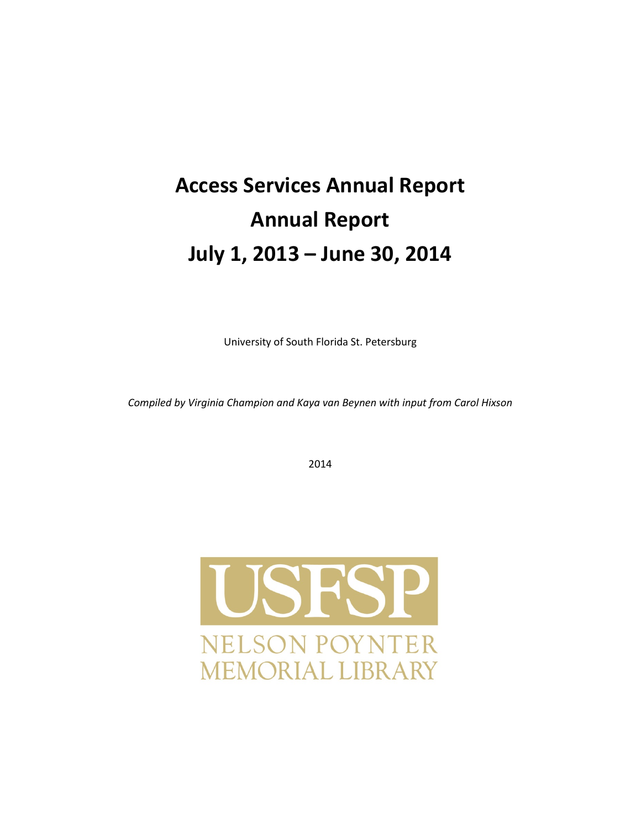# **Access Services Annual Report Annual Report July 1, 2013 – June 30, 2014**

University of South Florida St. Petersburg

*Compiled by Virginia Champion and Kaya van Beynen with input from Carol Hixson* 

2014

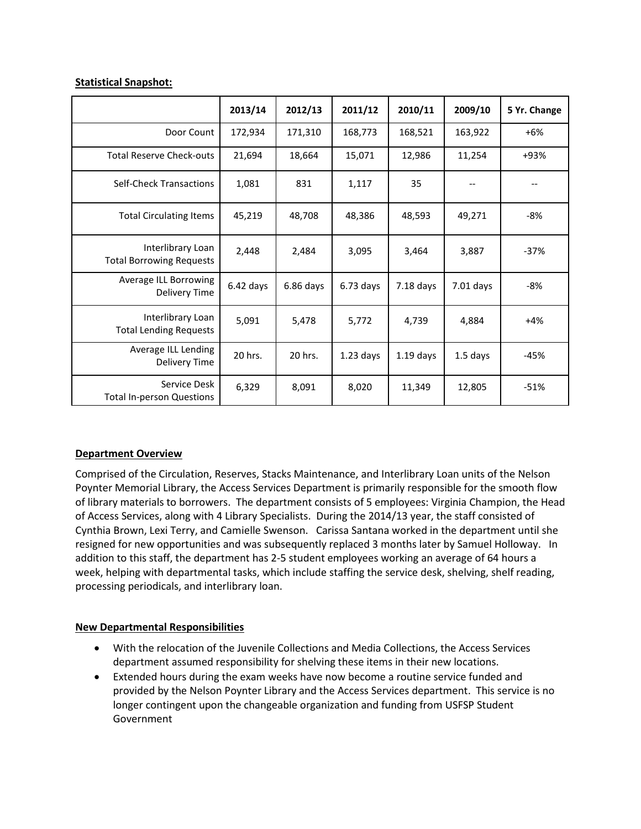# **Statistical Snapshot:**

|                                                      | 2013/14     | 2012/13     | 2011/12     | 2010/11     | 2009/10     | 5 Yr. Change |
|------------------------------------------------------|-------------|-------------|-------------|-------------|-------------|--------------|
| Door Count                                           | 172,934     | 171,310     | 168,773     | 168,521     | 163,922     | $+6%$        |
| <b>Total Reserve Check-outs</b>                      | 21,694      | 18,664      | 15,071      | 12,986      | 11,254      | +93%         |
| Self-Check Transactions                              | 1,081       | 831         | 1,117       | 35          |             |              |
| <b>Total Circulating Items</b>                       | 45,219      | 48,708      | 48,386      | 48,593      | 49,271      | -8%          |
| Interlibrary Loan<br><b>Total Borrowing Requests</b> | 2,448       | 2,484       | 3,095       | 3,464       | 3,887       | $-37%$       |
| Average ILL Borrowing<br>Delivery Time               | $6.42$ days | $6.86$ days | $6.73$ days | $7.18$ days | $7.01$ days | -8%          |
| Interlibrary Loan<br><b>Total Lending Requests</b>   | 5,091       | 5,478       | 5,772       | 4,739       | 4,884       | $+4%$        |
| Average ILL Lending<br>Delivery Time                 | 20 hrs.     | 20 hrs.     | $1.23$ days | $1.19$ days | $1.5$ days  | -45%         |
| Service Desk<br><b>Total In-person Questions</b>     | 6,329       | 8,091       | 8,020       | 11,349      | 12,805      | $-51%$       |

# **Department Overview**

Comprised of the Circulation, Reserves, Stacks Maintenance, and Interlibrary Loan units of the Nelson Poynter Memorial Library, the Access Services Department is primarily responsible for the smooth flow of library materials to borrowers. The department consists of 5 employees: Virginia Champion, the Head of Access Services, along with 4 Library Specialists. During the 2014/13 year, the staff consisted of Cynthia Brown, Lexi Terry, and Camielle Swenson. Carissa Santana worked in the department until she resigned for new opportunities and was subsequently replaced 3 months later by Samuel Holloway. In addition to this staff, the department has 2-5 student employees working an average of 64 hours a week, helping with departmental tasks, which include staffing the service desk, shelving, shelf reading, processing periodicals, and interlibrary loan.

# **New Departmental Responsibilities**

- With the relocation of the Juvenile Collections and Media Collections, the Access Services department assumed responsibility for shelving these items in their new locations.
- Extended hours during the exam weeks have now become a routine service funded and provided by the Nelson Poynter Library and the Access Services department. This service is no longer contingent upon the changeable organization and funding from USFSP Student Government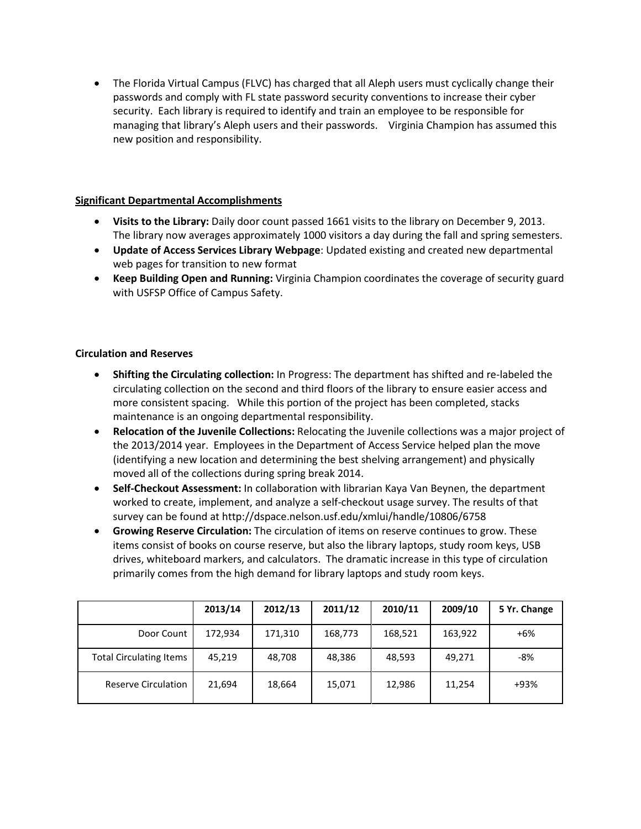• The Florida Virtual Campus (FLVC) has charged that all Aleph users must cyclically change their passwords and comply with FL state password security conventions to increase their cyber security. Each library is required to identify and train an employee to be responsible for managing that library's Aleph users and their passwords. Virginia Champion has assumed this new position and responsibility.

# **Significant Departmental Accomplishments**

- **Visits to the Library:** Daily door count passed 1661 visits to the library on December 9, 2013. The library now averages approximately 1000 visitors a day during the fall and spring semesters.
- **Update of Access Services Library Webpage**: Updated existing and created new departmental web pages for transition to new format
- **Keep Building Open and Running:** Virginia Champion coordinates the coverage of security guard with USFSP Office of Campus Safety.

# **Circulation and Reserves**

- **Shifting the Circulating collection:** In Progress: The department has shifted and re-labeled the circulating collection on the second and third floors of the library to ensure easier access and more consistent spacing. While this portion of the project has been completed, stacks maintenance is an ongoing departmental responsibility.
- **Relocation of the Juvenile Collections:** Relocating the Juvenile collections was a major project of the 2013/2014 year. Employees in the Department of Access Service helped plan the move (identifying a new location and determining the best shelving arrangement) and physically moved all of the collections during spring break 2014.
- **Self-Checkout Assessment:** In collaboration with librarian Kaya Van Beynen, the department worked to create, implement, and analyze a self-checkout usage survey. The results of that survey can be found at http://dspace.nelson.usf.edu/xmlui/handle/10806/6758
- **Growing Reserve Circulation:** The circulation of items on reserve continues to grow. These items consist of books on course reserve, but also the library laptops, study room keys, USB drives, whiteboard markers, and calculators. The dramatic increase in this type of circulation primarily comes from the high demand for library laptops and study room keys.

|                                | 2013/14 | 2012/13 | 2011/12 | 2010/11 | 2009/10 | 5 Yr. Change |
|--------------------------------|---------|---------|---------|---------|---------|--------------|
| Door Count                     | 172,934 | 171,310 | 168,773 | 168,521 | 163,922 | $+6%$        |
| <b>Total Circulating Items</b> | 45,219  | 48,708  | 48,386  | 48,593  | 49,271  | -8%          |
| <b>Reserve Circulation</b>     | 21,694  | 18,664  | 15,071  | 12,986  | 11,254  | +93%         |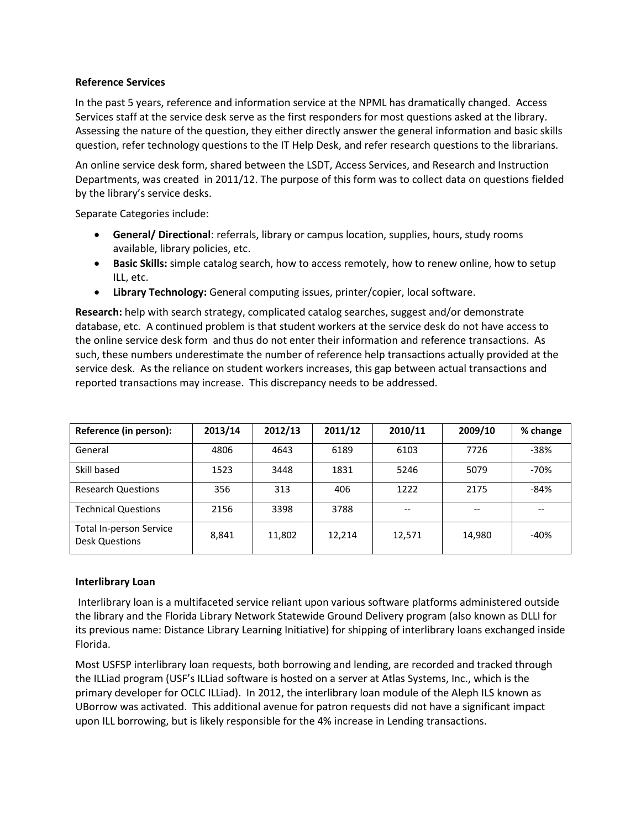## **Reference Services**

In the past 5 years, reference and information service at the NPML has dramatically changed. Access Services staff at the service desk serve as the first responders for most questions asked at the library. Assessing the nature of the question, they either directly answer the general information and basic skills question, refer technology questions to the IT Help Desk, and refer research questions to the librarians.

An online service desk form, shared between the LSDT, Access Services, and Research and Instruction Departments, was created in 2011/12. The purpose of this form was to collect data on questions fielded by the library's service desks.

Separate Categories include:

- **General/ Directional**: referrals, library or campus location, supplies, hours, study rooms available, library policies, etc.
- **Basic Skills:** simple catalog search, how to access remotely, how to renew online, how to setup ILL, etc.
- **Library Technology:** General computing issues, printer/copier, local software.

**Research:** help with search strategy, complicated catalog searches, suggest and/or demonstrate database, etc. A continued problem is that student workers at the service desk do not have access to the online service desk form and thus do not enter their information and reference transactions. As such, these numbers underestimate the number of reference help transactions actually provided at the service desk. As the reliance on student workers increases, this gap between actual transactions and reported transactions may increase. This discrepancy needs to be addressed.

| Reference (in person):                                  | 2013/14 | 2012/13 | 2011/12 | 2010/11 | 2009/10 | % change |
|---------------------------------------------------------|---------|---------|---------|---------|---------|----------|
| General                                                 | 4806    | 4643    | 6189    | 6103    | 7726    | $-38%$   |
| Skill based                                             | 1523    | 3448    | 1831    | 5246    | 5079    | $-70%$   |
| <b>Research Questions</b>                               | 356     | 313     | 406     | 1222    | 2175    | $-84%$   |
| <b>Technical Questions</b>                              | 2156    | 3398    | 3788    |         |         |          |
| <b>Total In-person Service</b><br><b>Desk Questions</b> | 8,841   | 11,802  | 12,214  | 12,571  | 14,980  | $-40%$   |

#### **Interlibrary Loan**

Interlibrary loan is a multifaceted service reliant upon various software platforms administered outside the library and the Florida Library Network Statewide Ground Delivery program (also known as DLLI for its previous name: Distance Library Learning Initiative) for shipping of interlibrary loans exchanged inside Florida.

Most USFSP interlibrary loan requests, both borrowing and lending, are recorded and tracked through the ILLiad program (USF's ILLiad software is hosted on a server at Atlas Systems, Inc., which is the primary developer for OCLC ILLiad). In 2012, the interlibrary loan module of the Aleph ILS known as UBorrow was activated. This additional avenue for patron requests did not have a significant impact upon ILL borrowing, but is likely responsible for the 4% increase in Lending transactions.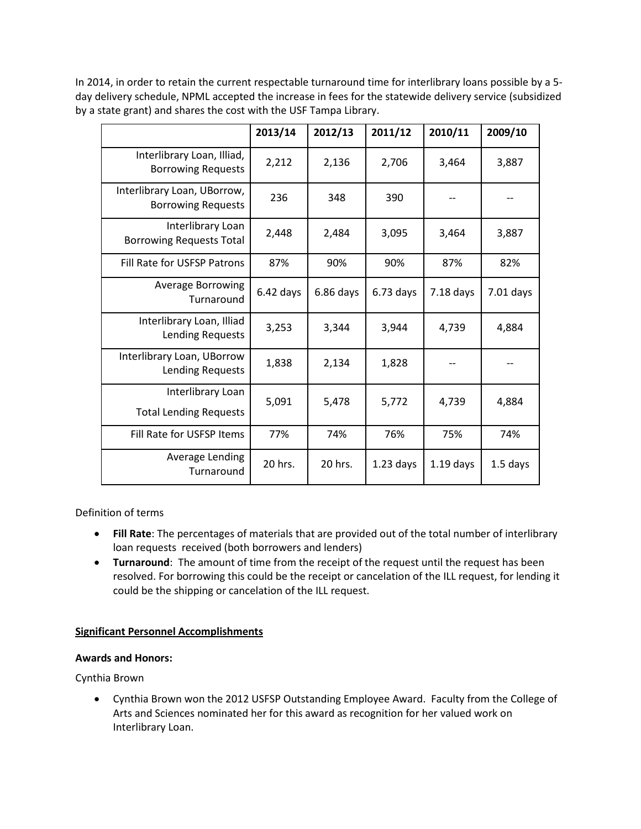In 2014, in order to retain the current respectable turnaround time for interlibrary loans possible by a 5 day delivery schedule, NPML accepted the increase in fees for the statewide delivery service (subsidized by a state grant) and shares the cost with the USF Tampa Library.

|                                                          | 2013/14     | 2012/13     | 2011/12     | 2010/11     | 2009/10    |
|----------------------------------------------------------|-------------|-------------|-------------|-------------|------------|
| Interlibrary Loan, Illiad,<br><b>Borrowing Requests</b>  | 2,212       | 2,136       | 2,706       | 3,464       | 3,887      |
| Interlibrary Loan, UBorrow,<br><b>Borrowing Requests</b> | 236         | 348         | 390         |             |            |
| Interlibrary Loan<br><b>Borrowing Requests Total</b>     | 2,448       | 2,484       | 3,095       | 3,464       | 3,887      |
| Fill Rate for USFSP Patrons                              | 87%         | 90%         | 90%         | 87%         | 82%        |
| <b>Average Borrowing</b><br>Turnaround                   | $6.42$ days | $6.86$ days | $6.73$ days | 7.18 days   | 7.01 days  |
| Interlibrary Loan, Illiad<br>Lending Requests            | 3,253       | 3,344       | 3,944       | 4,739       | 4,884      |
| Interlibrary Loan, UBorrow<br>Lending Requests           | 1,838       | 2,134       | 1,828       |             |            |
| Interlibrary Loan<br><b>Total Lending Requests</b>       | 5,091       | 5,478       | 5,772       | 4,739       | 4,884      |
| Fill Rate for USFSP Items                                | 77%         | 74%         | 76%         | 75%         | 74%        |
| Average Lending<br>Turnaround                            | 20 hrs.     | 20 hrs.     | $1.23$ days | $1.19$ days | $1.5$ days |

Definition of terms

- **Fill Rate**: The percentages of materials that are provided out of the total number of interlibrary loan requests received (both borrowers and lenders)
- **Turnaround**: The amount of time from the receipt of the request until the request has been resolved. For borrowing this could be the receipt or cancelation of the ILL request, for lending it could be the shipping or cancelation of the ILL request.

# **Significant Personnel Accomplishments**

# **Awards and Honors:**

Cynthia Brown

• Cynthia Brown won the 2012 USFSP Outstanding Employee Award. Faculty from the College of Arts and Sciences nominated her for this award as recognition for her valued work on Interlibrary Loan.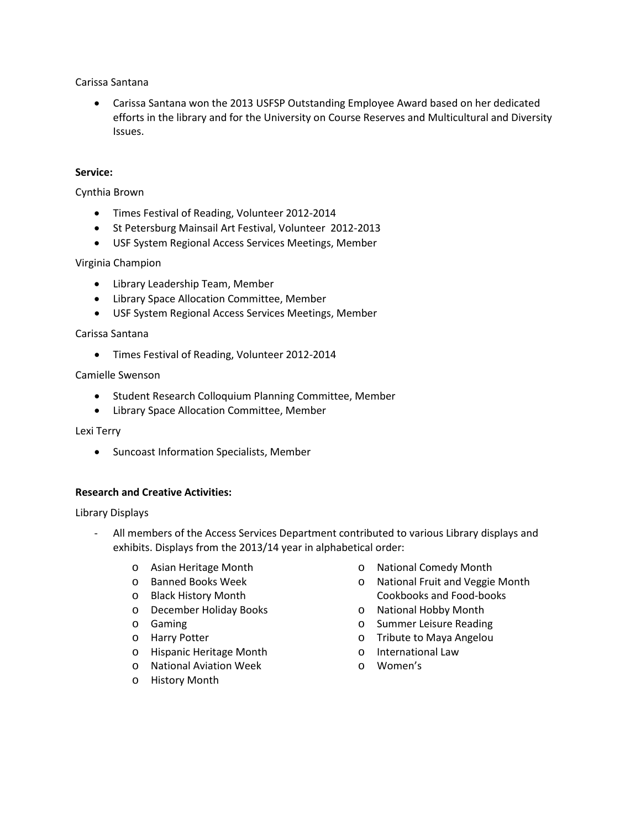Carissa Santana

• Carissa Santana won the 2013 USFSP Outstanding Employee Award based on her dedicated efforts in the library and for the University on Course Reserves and Multicultural and Diversity Issues.

#### **Service:**

Cynthia Brown

- Times Festival of Reading, Volunteer 2012-2014
- St Petersburg Mainsail Art Festival, Volunteer 2012-2013
- USF System Regional Access Services Meetings, Member

#### Virginia Champion

- Library Leadership Team, Member
- Library Space Allocation Committee, Member
- USF System Regional Access Services Meetings, Member

#### Carissa Santana

• Times Festival of Reading, Volunteer 2012-2014

#### Camielle Swenson

- Student Research Colloquium Planning Committee, Member
- Library Space Allocation Committee, Member

#### Lexi Terry

• Suncoast Information Specialists, Member

#### **Research and Creative Activities:**

#### Library Displays

- All members of the Access Services Department contributed to various Library displays and exhibits. Displays from the 2013/14 year in alphabetical order:
	- o Asian Heritage Month
	- o Banned Books Week
	- o Black History Month
	- o December Holiday Books
	- o Gaming
	- o Harry Potter
	- o Hispanic Heritage Month
	- o National Aviation Week
	- o History Month
- o National Comedy Month
- o National Fruit and Veggie Month Cookbooks and Food-books
- o National Hobby Month
- o Summer Leisure Reading
- o Tribute to Maya Angelou
- o International Law
- o Women's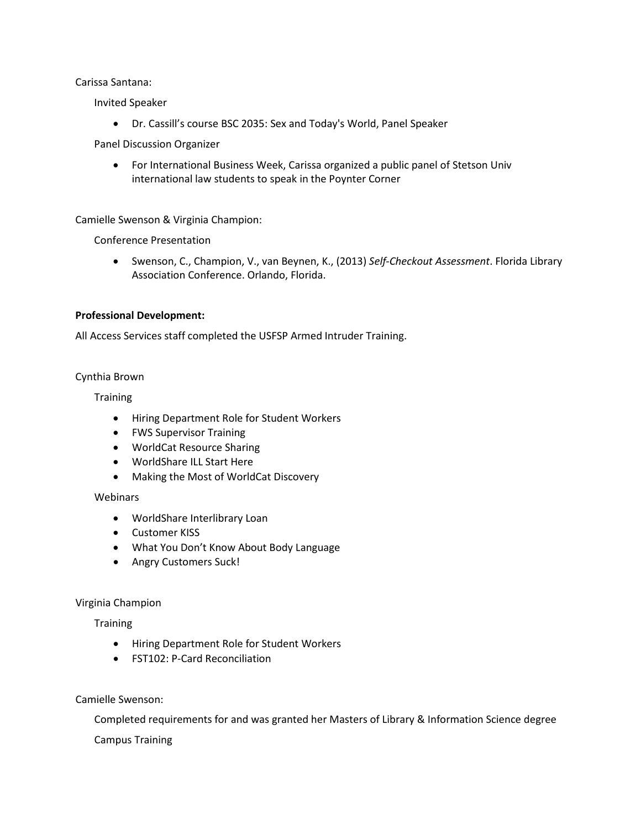Carissa Santana:

Invited Speaker

• Dr. Cassill's course BSC 2035: Sex and Today's World, Panel Speaker

Panel Discussion Organizer

• For International Business Week, Carissa organized a public panel of Stetson Univ international law students to speak in the Poynter Corner

Camielle Swenson & Virginia Champion:

Conference Presentation

• Swenson, C., Champion, V., van Beynen, K., (2013) *Self-Checkout Assessment*. Florida Library Association Conference. Orlando, Florida.

#### **Professional Development:**

All Access Services staff completed the USFSP Armed Intruder Training.

#### Cynthia Brown

**Training** 

- Hiring Department Role for Student Workers
- FWS Supervisor Training
- WorldCat Resource Sharing
- WorldShare ILL Start Here
- Making the Most of WorldCat Discovery

#### **Webinars**

- WorldShare Interlibrary Loan
- Customer KISS
- What You Don't Know About Body Language
- Angry Customers Suck!

# Virginia Champion

**Training** 

- Hiring Department Role for Student Workers
- FST102: P-Card Reconciliation

Camielle Swenson:

Completed requirements for and was granted her Masters of Library & Information Science degree

Campus Training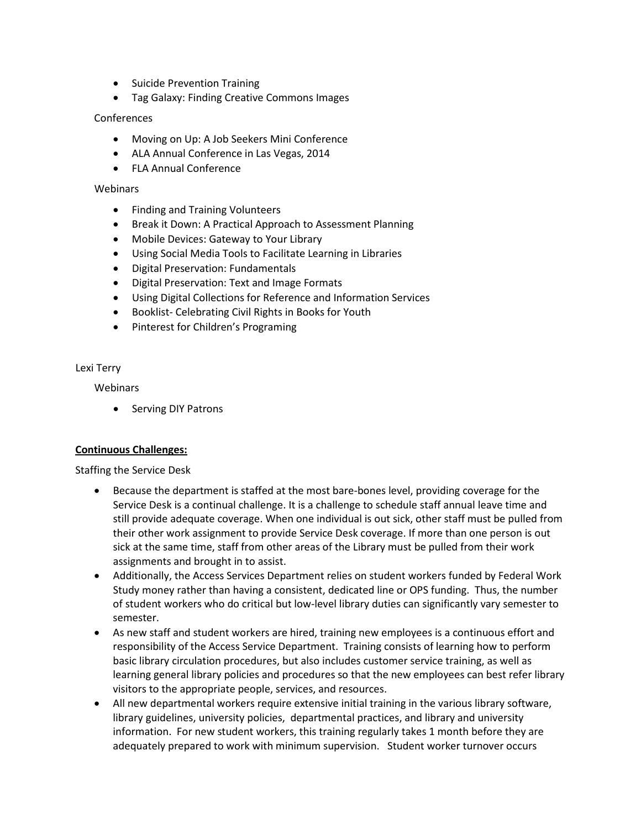- Suicide Prevention Training
- Tag Galaxy: Finding Creative Commons Images

## **Conferences**

- Moving on Up: A Job Seekers Mini Conference
- ALA Annual Conference in Las Vegas, 2014
- FLA Annual Conference

#### Webinars

- Finding and Training Volunteers
- Break it Down: A Practical Approach to Assessment Planning
- Mobile Devices: Gateway to Your Library
- Using Social Media Tools to Facilitate Learning in Libraries
- Digital Preservation: Fundamentals
- Digital Preservation: Text and Image Formats
- Using Digital Collections for Reference and Information Services
- Booklist- Celebrating Civil Rights in Books for Youth
- Pinterest for Children's Programing

#### Lexi Terry

**Webinars** 

• Serving DIY Patrons

# **Continuous Challenges:**

Staffing the Service Desk

- Because the department is staffed at the most bare-bones level, providing coverage for the Service Desk is a continual challenge. It is a challenge to schedule staff annual leave time and still provide adequate coverage. When one individual is out sick, other staff must be pulled from their other work assignment to provide Service Desk coverage. If more than one person is out sick at the same time, staff from other areas of the Library must be pulled from their work assignments and brought in to assist.
- Additionally, the Access Services Department relies on student workers funded by Federal Work Study money rather than having a consistent, dedicated line or OPS funding. Thus, the number of student workers who do critical but low-level library duties can significantly vary semester to semester.
- As new staff and student workers are hired, training new employees is a continuous effort and responsibility of the Access Service Department. Training consists of learning how to perform basic library circulation procedures, but also includes customer service training, as well as learning general library policies and procedures so that the new employees can best refer library visitors to the appropriate people, services, and resources.
- All new departmental workers require extensive initial training in the various library software, library guidelines, university policies, departmental practices, and library and university information. For new student workers, this training regularly takes 1 month before they are adequately prepared to work with minimum supervision. Student worker turnover occurs